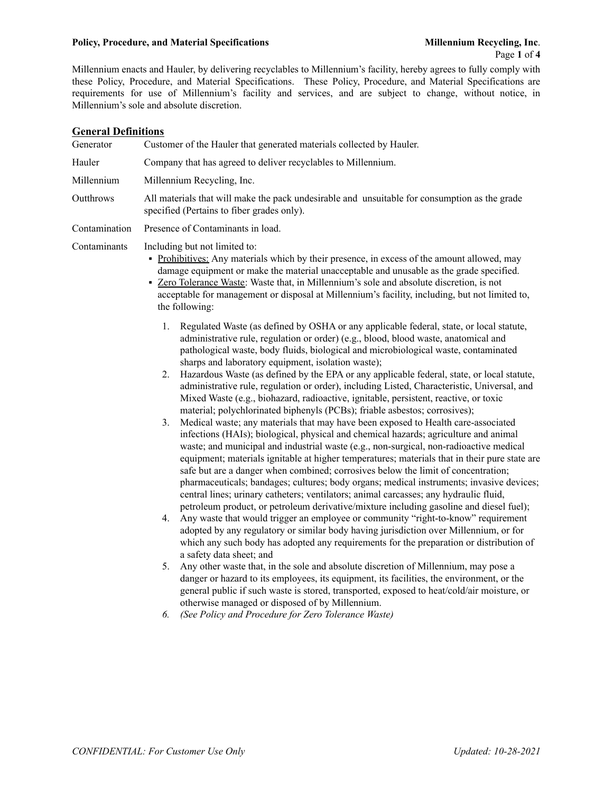#### **Policy, Procedure, and Material Specifications Millennium Recycling, Inc**.

Millennium enacts and Hauler, by delivering recyclables to Millennium's facility, hereby agrees to fully comply with these Policy, Procedure, and Material Specifications. These Policy, Procedure, and Material Specifications are requirements for use of Millennium's facility and services, and are subject to change, without notice, in Millennium's sole and absolute discretion.

### **General Definitions**

Generator Customer of the Hauler that generated materials collected by Hauler. Hauler Company that has agreed to deliver recyclables to Millennium. Millennium Millennium Recycling, Inc. Outthrows All materials that will make the pack undesirable and unsuitable for consumption as the grade specified (Pertains to fiber grades only). Contamination Presence of Contaminants in load. Contaminants Including but not limited to: ▪ Prohibitives: Any materials which by their presence, in excess of the amount allowed, may

- damage equipment or make the material unacceptable and unusable as the grade specified.
- Zero Tolerance Waste: Waste that, in Millennium's sole and absolute discretion, is not acceptable for management or disposal at Millennium's facility, including, but not limited to, the following:
	- 1. Regulated Waste (as defined by OSHA or any applicable federal, state, or local statute, administrative rule, regulation or order) (e.g., blood, blood waste, anatomical and pathological waste, body fluids, biological and microbiological waste, contaminated sharps and laboratory equipment, isolation waste);
	- 2. Hazardous Waste (as defined by the EPA or any applicable federal, state, or local statute, administrative rule, regulation or order), including Listed, Characteristic, Universal, and Mixed Waste (e.g., biohazard, radioactive, ignitable, persistent, reactive, or toxic material; polychlorinated biphenyls (PCBs); friable asbestos; corrosives);
	- 3. Medical waste; any materials that may have been exposed to Health care-associated infections (HAIs); biological, physical and chemical hazards; agriculture and animal waste; and municipal and industrial waste (e.g., non-surgical, non-radioactive medical equipment; materials ignitable at higher temperatures; materials that in their pure state are safe but are a danger when combined; corrosives below the limit of concentration; pharmaceuticals; bandages; cultures; body organs; medical instruments; invasive devices; central lines; urinary catheters; ventilators; animal carcasses; any hydraulic fluid, petroleum product, or petroleum derivative/mixture including gasoline and diesel fuel);
	- 4. Any waste that would trigger an employee or community "right-to-know" requirement adopted by any regulatory or similar body having jurisdiction over Millennium, or for which any such body has adopted any requirements for the preparation or distribution of a safety data sheet; and
	- 5. Any other waste that, in the sole and absolute discretion of Millennium, may pose a danger or hazard to its employees, its equipment, its facilities, the environment, or the general public if such waste is stored, transported, exposed to heat/cold/air moisture, or otherwise managed or disposed of by Millennium.
	- *6. (See Policy and Procedure for Zero Tolerance Waste)*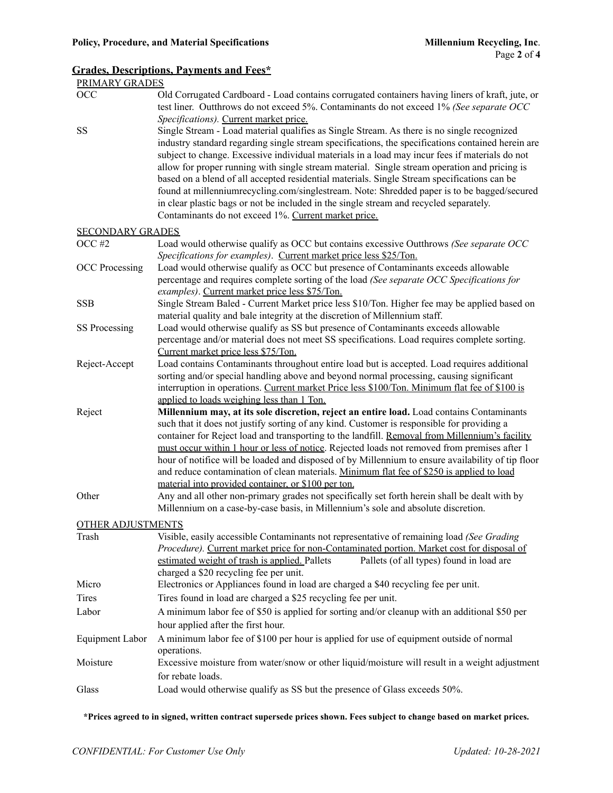# **Grades, Descriptions, Payments and Fees\***

| PRIMARY GRADES           |                                                                                                                                                                                                                                                                                                                                                                                                                                                                                                                                                                                                                                                                                                                                                                                             |
|--------------------------|---------------------------------------------------------------------------------------------------------------------------------------------------------------------------------------------------------------------------------------------------------------------------------------------------------------------------------------------------------------------------------------------------------------------------------------------------------------------------------------------------------------------------------------------------------------------------------------------------------------------------------------------------------------------------------------------------------------------------------------------------------------------------------------------|
| OCC                      | Old Corrugated Cardboard - Load contains corrugated containers having liners of kraft, jute, or<br>test liner. Outthrows do not exceed 5%. Contaminants do not exceed 1% (See separate OCC                                                                                                                                                                                                                                                                                                                                                                                                                                                                                                                                                                                                  |
| SS                       | Specifications). Current market price.<br>Single Stream - Load material qualifies as Single Stream. As there is no single recognized<br>industry standard regarding single stream specifications, the specifications contained herein are<br>subject to change. Excessive individual materials in a load may incur fees if materials do not<br>allow for proper running with single stream material. Single stream operation and pricing is<br>based on a blend of all accepted residential materials. Single Stream specifications can be<br>found at millenniumrecycling.com/singlestream. Note: Shredded paper is to be bagged/secured<br>in clear plastic bags or not be included in the single stream and recycled separately.<br>Contaminants do not exceed 1%. Current market price. |
| <b>SECONDARY GRADES</b>  |                                                                                                                                                                                                                                                                                                                                                                                                                                                                                                                                                                                                                                                                                                                                                                                             |
| OCC#2                    | Load would otherwise qualify as OCC but contains excessive Outthrows (See separate OCC                                                                                                                                                                                                                                                                                                                                                                                                                                                                                                                                                                                                                                                                                                      |
| <b>OCC</b> Processing    | Specifications for examples). Current market price less \$25/Ton.<br>Load would otherwise qualify as OCC but presence of Contaminants exceeds allowable<br>percentage and requires complete sorting of the load (See separate OCC Specifications for<br>examples). Current market price less \$75/Ton.                                                                                                                                                                                                                                                                                                                                                                                                                                                                                      |
| <b>SSB</b>               | Single Stream Baled - Current Market price less \$10/Ton. Higher fee may be applied based on<br>material quality and bale integrity at the discretion of Millennium staff.                                                                                                                                                                                                                                                                                                                                                                                                                                                                                                                                                                                                                  |
| SS Processing            | Load would otherwise qualify as SS but presence of Contaminants exceeds allowable<br>percentage and/or material does not meet SS specifications. Load requires complete sorting.<br>Current market price less \$75/Ton.                                                                                                                                                                                                                                                                                                                                                                                                                                                                                                                                                                     |
| Reject-Accept            | Load contains Contaminants throughout entire load but is accepted. Load requires additional<br>sorting and/or special handling above and beyond normal processing, causing significant<br>interruption in operations. Current market Price less \$100/Ton. Minimum flat fee of \$100 is<br>applied to loads weighing less than 1 Ton.                                                                                                                                                                                                                                                                                                                                                                                                                                                       |
| Reject                   | Millennium may, at its sole discretion, reject an entire load. Load contains Contaminants<br>such that it does not justify sorting of any kind. Customer is responsible for providing a<br>container for Reject load and transporting to the landfill. Removal from Millennium's facility<br>must occur within 1 hour or less of notice. Rejected loads not removed from premises after 1<br>hour of notifice will be loaded and disposed of by Millennium to ensure availability of tip floor<br>and reduce contamination of clean materials. Minimum flat fee of \$250 is applied to load<br>material into provided container, or \$100 per ton.                                                                                                                                          |
| Other                    | Any and all other non-primary grades not specifically set forth herein shall be dealt with by<br>Millennium on a case-by-case basis, in Millennium's sole and absolute discretion.                                                                                                                                                                                                                                                                                                                                                                                                                                                                                                                                                                                                          |
| <b>OTHER ADJUSTMENTS</b> |                                                                                                                                                                                                                                                                                                                                                                                                                                                                                                                                                                                                                                                                                                                                                                                             |
| Trash                    | Visible, easily accessible Contaminants not representative of remaining load (See Grading<br>Procedure). Current market price for non-Contaminated portion. Market cost for disposal of<br>Pallets (of all types) found in load are<br>estimated weight of trash is applied. Pallets<br>charged a \$20 recycling fee per unit.                                                                                                                                                                                                                                                                                                                                                                                                                                                              |
| Micro                    | Electronics or Appliances found in load are charged a \$40 recycling fee per unit.                                                                                                                                                                                                                                                                                                                                                                                                                                                                                                                                                                                                                                                                                                          |
| Tires                    | Tires found in load are charged a \$25 recycling fee per unit.                                                                                                                                                                                                                                                                                                                                                                                                                                                                                                                                                                                                                                                                                                                              |
| Labor                    | A minimum labor fee of \$50 is applied for sorting and/or cleanup with an additional \$50 per<br>hour applied after the first hour.                                                                                                                                                                                                                                                                                                                                                                                                                                                                                                                                                                                                                                                         |
| Equipment Labor          | A minimum labor fee of \$100 per hour is applied for use of equipment outside of normal<br>operations.                                                                                                                                                                                                                                                                                                                                                                                                                                                                                                                                                                                                                                                                                      |
| Moisture                 | Excessive moisture from water/snow or other liquid/moisture will result in a weight adjustment<br>for rebate loads.                                                                                                                                                                                                                                                                                                                                                                                                                                                                                                                                                                                                                                                                         |
| Glass                    | Load would otherwise qualify as SS but the presence of Glass exceeds 50%.                                                                                                                                                                                                                                                                                                                                                                                                                                                                                                                                                                                                                                                                                                                   |

**\*Prices agreed to in signed, written contract supersede prices shown. Fees subject to change based on market prices.**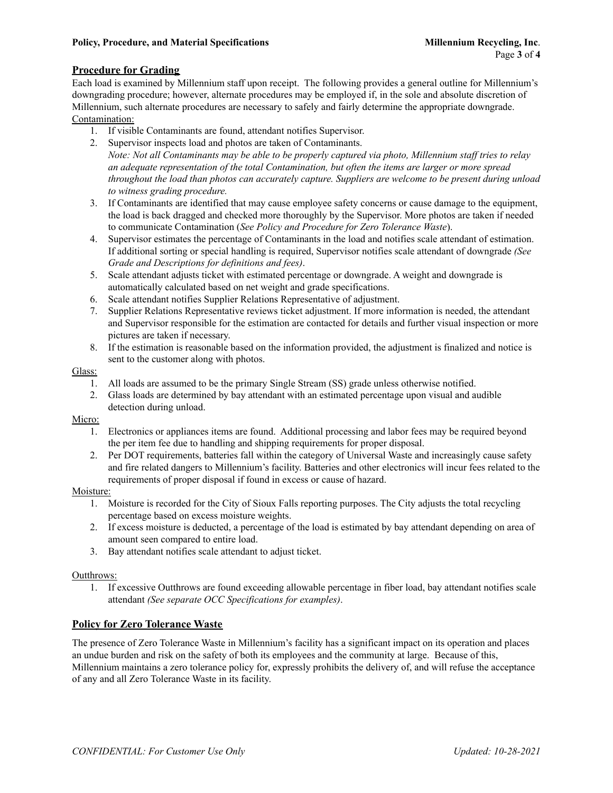## **Procedure for Grading**

Each load is examined by Millennium staff upon receipt. The following provides a general outline for Millennium's downgrading procedure; however, alternate procedures may be employed if, in the sole and absolute discretion of Millennium, such alternate procedures are necessary to safely and fairly determine the appropriate downgrade. Contamination:

- 1. If visible Contaminants are found, attendant notifies Supervisor.
- 2. Supervisor inspects load and photos are taken of Contaminants.
- Note: Not all Contaminants may be able to be properly captured via photo, Millennium staff tries to relay *an adequate representation of the total Contamination, but often the items are larger or more spread throughout the load than photos can accurately capture. Suppliers are welcome to be present during unload to witness grading procedure.*
- 3. If Contaminants are identified that may cause employee safety concerns or cause damage to the equipment, the load is back dragged and checked more thoroughly by the Supervisor. More photos are taken if needed to communicate Contamination (*See Policy and Procedure for Zero Tolerance Waste*).
- 4. Supervisor estimates the percentage of Contaminants in the load and notifies scale attendant of estimation. If additional sorting or special handling is required, Supervisor notifies scale attendant of downgrade *(See Grade and Descriptions for definitions and fees)*.
- 5. Scale attendant adjusts ticket with estimated percentage or downgrade. A weight and downgrade is automatically calculated based on net weight and grade specifications.
- 6. Scale attendant notifies Supplier Relations Representative of adjustment.
- 7. Supplier Relations Representative reviews ticket adjustment. If more information is needed, the attendant and Supervisor responsible for the estimation are contacted for details and further visual inspection or more pictures are taken if necessary.
- 8. If the estimation is reasonable based on the information provided, the adjustment is finalized and notice is sent to the customer along with photos.

#### Glass:

- 1. All loads are assumed to be the primary Single Stream (SS) grade unless otherwise notified.
- 2. Glass loads are determined by bay attendant with an estimated percentage upon visual and audible detection during unload.

#### Micro:

- 1. Electronics or appliances items are found. Additional processing and labor fees may be required beyond the per item fee due to handling and shipping requirements for proper disposal.
- 2. Per DOT requirements, batteries fall within the category of Universal Waste and increasingly cause safety and fire related dangers to Millennium's facility. Batteries and other electronics will incur fees related to the requirements of proper disposal if found in excess or cause of hazard.

#### Moisture:

- 1. Moisture is recorded for the City of Sioux Falls reporting purposes. The City adjusts the total recycling percentage based on excess moisture weights.
- 2. If excess moisture is deducted, a percentage of the load is estimated by bay attendant depending on area of amount seen compared to entire load.
- 3. Bay attendant notifies scale attendant to adjust ticket.

#### Outthrows:

1. If excessive Outthrows are found exceeding allowable percentage in fiber load, bay attendant notifies scale attendant *(See separate OCC Specifications for examples)*.

### **Policy for Zero Tolerance Waste**

The presence of Zero Tolerance Waste in Millennium's facility has a significant impact on its operation and places an undue burden and risk on the safety of both its employees and the community at large. Because of this, Millennium maintains a zero tolerance policy for, expressly prohibits the delivery of, and will refuse the acceptance of any and all Zero Tolerance Waste in its facility.